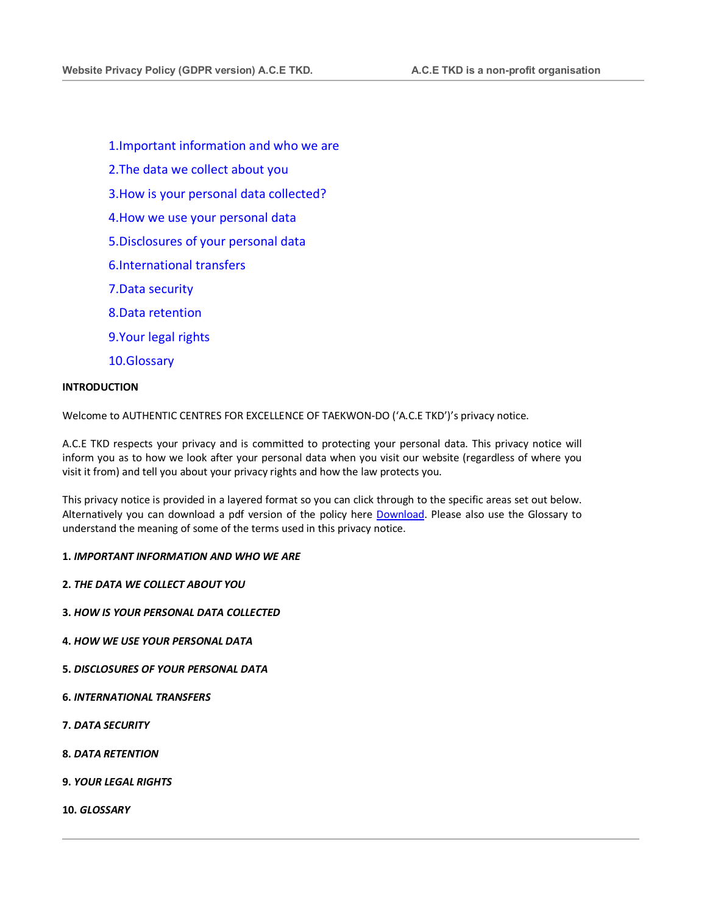1.Important information and who we are

- 2.The data we collect about you
- 3.How is your personal data collected?
- 4.How we use your personal data
- 5.Disclosures of your personal data
- 6.International transfers
- 7.Data security
- 8.Data retention
- 9.Your legal rights
- 10.Glossary

# **INTRODUCTION**

Welcome to AUTHENTIC CENTRES FOR EXCELLENCE OF TAEKWON-DO ('A.C.E TKD')'s privacy notice.

A.C.E TKD respects your privacy and is committed to protecting your personal data. This privacy notice will inform you as to how we look after your personal data when you visit our website (regardless of where you visit it from) and tell you about your privacy rights and how the law protects you.

This privacy notice is provided in a layered format so you can click through to the specific areas set out below. Alternatively you can download a pdf version of the policy here Download. Please also use the Glossary to understand the meaning of some of the terms used in this privacy notice.

### **1.** *IMPORTANT INFORMATION AND WHO WE ARE*

- **2.** *THE DATA WE COLLECT ABOUT YOU*
- **3.** *HOW IS YOUR PERSONAL DATA COLLECTED*
- **4.** *HOW WE USE YOUR PERSONAL DATA*
- **5.** *DISCLOSURES OF YOUR PERSONAL DATA*
- **6.** *INTERNATIONAL TRANSFERS*
- **7.** *DATA SECURITY*
- **8.** *DATA RETENTION*
- **9.** *YOUR LEGAL RIGHTS*
- **10.** *GLOSSARY*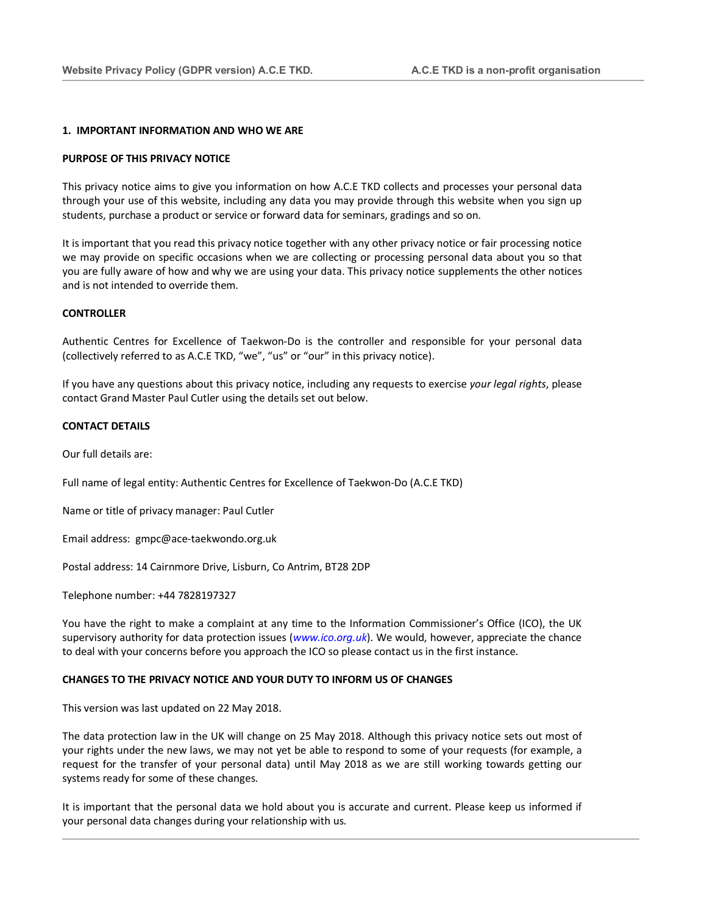### **1. IMPORTANT INFORMATION AND WHO WE ARE**

### **PURPOSE OF THIS PRIVACY NOTICE**

This privacy notice aims to give you information on how A.C.E TKD collects and processes your personal data through your use of this website, including any data you may provide through this website when you sign up students, purchase a product or service or forward data for seminars, gradings and so on.

It is important that you read this privacy notice together with any other privacy notice or fair processing notice we may provide on specific occasions when we are collecting or processing personal data about you so that you are fully aware of how and why we are using your data. This privacy notice supplements the other notices and is not intended to override them.

#### **CONTROLLER**

Authentic Centres for Excellence of Taekwon-Do is the controller and responsible for your personal data (collectively referred to as A.C.E TKD, "we", "us" or "our" in this privacy notice).

If you have any questions about this privacy notice, including any requests to exercise *your legal rights*, please contact Grand Master Paul Cutler using the details set out below.

# **CONTACT DETAILS**

Our full details are:

Full name of legal entity: Authentic Centres for Excellence of Taekwon-Do (A.C.E TKD)

Name or title of privacy manager: Paul Cutler

Email address: gmpc@ace-taekwondo.org.uk

Postal address: 14 Cairnmore Drive, Lisburn, Co Antrim, BT28 2DP

Telephone number: +44 7828197327

You have the right to make a complaint at any time to the Information Commissioner's Office (ICO), the UK supervisory authority for data protection issues (*www.ico.org.uk*). We would, however, appreciate the chance to deal with your concerns before you approach the ICO so please contact us in the first instance.

### **CHANGES TO THE PRIVACY NOTICE AND YOUR DUTY TO INFORM US OF CHANGES**

This version was last updated on 22 May 2018.

The data protection law in the UK will change on 25 May 2018. Although this privacy notice sets out most of your rights under the new laws, we may not yet be able to respond to some of your requests (for example, a request for the transfer of your personal data) until May 2018 as we are still working towards getting our systems ready for some of these changes.

It is important that the personal data we hold about you is accurate and current. Please keep us informed if your personal data changes during your relationship with us.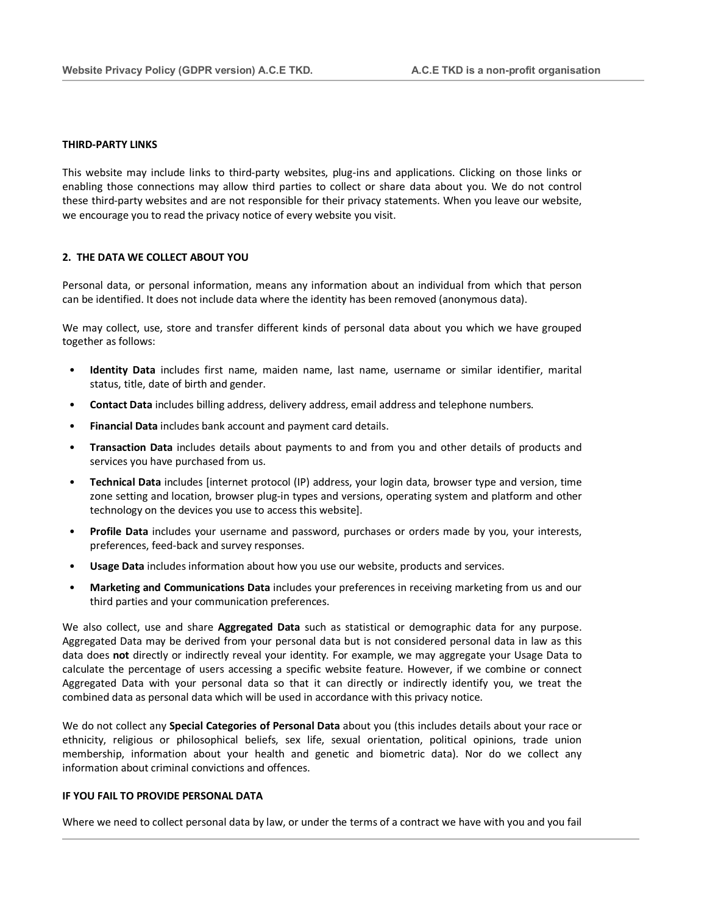### **THIRD-PARTY LINKS**

This website may include links to third-party websites, plug-ins and applications. Clicking on those links or enabling those connections may allow third parties to collect or share data about you. We do not control these third-party websites and are not responsible for their privacy statements. When you leave our website, we encourage you to read the privacy notice of every website you visit.

## **2. THE DATA WE COLLECT ABOUT YOU**

Personal data, or personal information, means any information about an individual from which that person can be identified. It does not include data where the identity has been removed (anonymous data).

We may collect, use, store and transfer different kinds of personal data about you which we have grouped together as follows:

- **Identity Data** includes first name, maiden name, last name, username or similar identifier, marital status, title, date of birth and gender.
- **Contact Data** includes billing address, delivery address, email address and telephone numbers.
- **Financial Data** includes bank account and payment card details.
- **Transaction Data** includes details about payments to and from you and other details of products and services you have purchased from us.
- **Technical Data** includes [internet protocol (IP) address, your login data, browser type and version, time zone setting and location, browser plug-in types and versions, operating system and platform and other technology on the devices you use to access this website].
- **Profile Data** includes your username and password, purchases or orders made by you, your interests, preferences, feed-back and survey responses.
- **Usage Data** includes information about how you use our website, products and services.
- **Marketing and Communications Data** includes your preferences in receiving marketing from us and our third parties and your communication preferences.

We also collect, use and share **Aggregated Data** such as statistical or demographic data for any purpose. Aggregated Data may be derived from your personal data but is not considered personal data in law as this data does **not** directly or indirectly reveal your identity. For example, we may aggregate your Usage Data to calculate the percentage of users accessing a specific website feature. However, if we combine or connect Aggregated Data with your personal data so that it can directly or indirectly identify you, we treat the combined data as personal data which will be used in accordance with this privacy notice.

We do not collect any **Special Categories of Personal Data** about you (this includes details about your race or ethnicity, religious or philosophical beliefs, sex life, sexual orientation, political opinions, trade union membership, information about your health and genetic and biometric data). Nor do we collect any information about criminal convictions and offences.

# **IF YOU FAIL TO PROVIDE PERSONAL DATA**

Where we need to collect personal data by law, or under the terms of a contract we have with you and you fail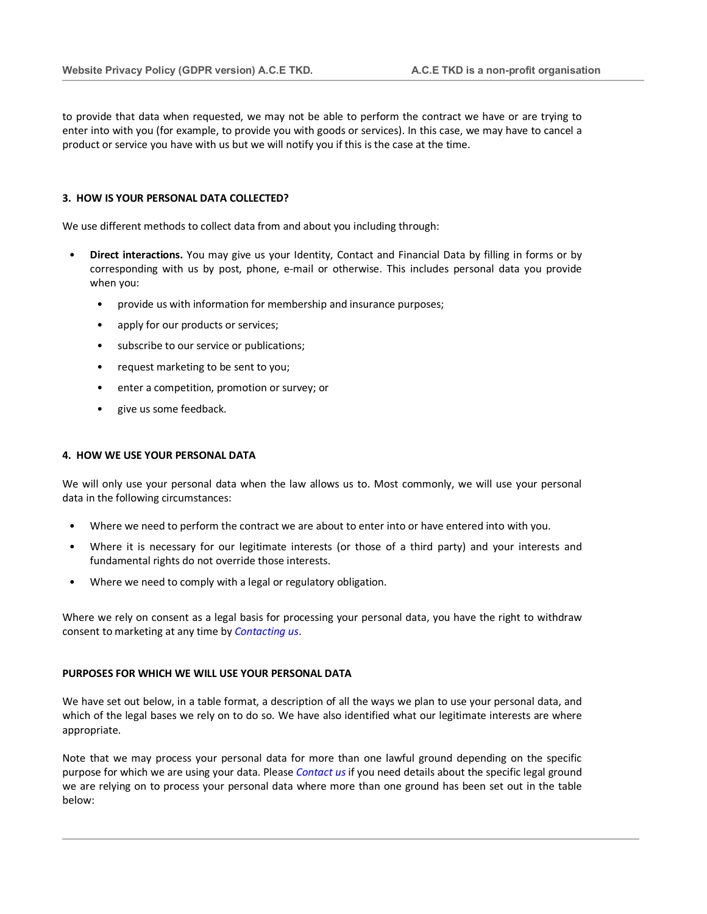to provide that data when requested, we may not be able to perform the contract we have or are trying to enter into with you (for example, to provide you with goods or services). In this case, we may have to cancel a product or service you have with us but we will notify you if this is the case at the time.

### **3. HOW IS YOUR PERSONAL DATA COLLECTED?**

We use different methods to collect data from and about you including through:

- **Direct interactions.** You may give us your Identity, Contact and Financial Data by filling in forms or by corresponding with us by post, phone, e-mail or otherwise. This includes personal data you provide when you:
	- provide us with information for membership and insurance purposes;
	- apply for our products or services;
	- subscribe to our service or publications;
	- request marketing to be sent to you;
	- enter a competition, promotion or survey; or
	- give us some feedback.

## **4. HOW WE USE YOUR PERSONAL DATA**

We will only use your personal data when the law allows us to. Most commonly, we will use your personal data in the following circumstances:

- Where we need to perform the contract we are about to enter into or have entered into with you.
- Where it is necessary for our legitimate interests (or those of a third party) and your interests and fundamental rights do not override those interests.
- Where we need to comply with a legal or regulatory obligation.

Where we rely on consent as a legal basis for processing your personal data, you have the right to withdraw consent to marketing at any time by *Contacting us*.

## **PURPOSES FOR WHICH WE WILL USE YOUR PERSONAL DATA**

We have set out below, in a table format, a description of all the ways we plan to use your personal data, and which of the legal bases we rely on to do so. We have also identified what our legitimate interests are where appropriate.

Note that we may process your personal data for more than one lawful ground depending on the specific purpose for which we are using your data. Please *Contact us* if you need details about the specific legal ground we are relying on to process your personal data where more than one ground has been set out in the table below: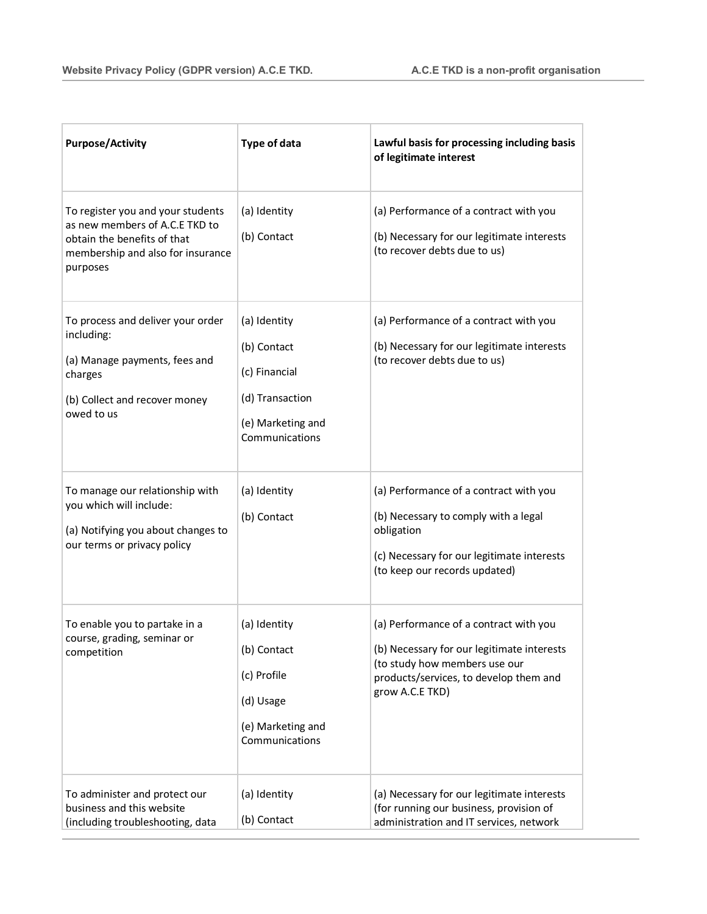| <b>Purpose/Activity</b>                                                                                                                             | <b>Type of data</b>                                                                                    | Lawful basis for processing including basis<br>of legitimate interest                                                                                                              |
|-----------------------------------------------------------------------------------------------------------------------------------------------------|--------------------------------------------------------------------------------------------------------|------------------------------------------------------------------------------------------------------------------------------------------------------------------------------------|
| To register you and your students<br>as new members of A.C.E TKD to<br>obtain the benefits of that<br>membership and also for insurance<br>purposes | (a) Identity<br>(b) Contact                                                                            | (a) Performance of a contract with you<br>(b) Necessary for our legitimate interests<br>(to recover debts due to us)                                                               |
| To process and deliver your order<br>including:<br>(a) Manage payments, fees and<br>charges<br>(b) Collect and recover money<br>owed to us          | (a) Identity<br>(b) Contact<br>(c) Financial<br>(d) Transaction<br>(e) Marketing and<br>Communications | (a) Performance of a contract with you<br>(b) Necessary for our legitimate interests<br>(to recover debts due to us)                                                               |
| To manage our relationship with<br>you which will include:<br>(a) Notifying you about changes to<br>our terms or privacy policy                     | (a) Identity<br>(b) Contact                                                                            | (a) Performance of a contract with you<br>(b) Necessary to comply with a legal<br>obligation<br>(c) Necessary for our legitimate interests<br>(to keep our records updated)        |
| To enable you to partake in a<br>course, grading, seminar or<br>competition                                                                         | (a) Identity<br>(b) Contact<br>(c) Profile<br>(d) Usage<br>(e) Marketing and<br>Communications         | (a) Performance of a contract with you<br>(b) Necessary for our legitimate interests<br>(to study how members use our<br>products/services, to develop them and<br>grow A.C.E TKD) |
| To administer and protect our<br>business and this website<br>(including troubleshooting, data                                                      | (a) Identity<br>(b) Contact                                                                            | (a) Necessary for our legitimate interests<br>(for running our business, provision of<br>administration and IT services, network                                                   |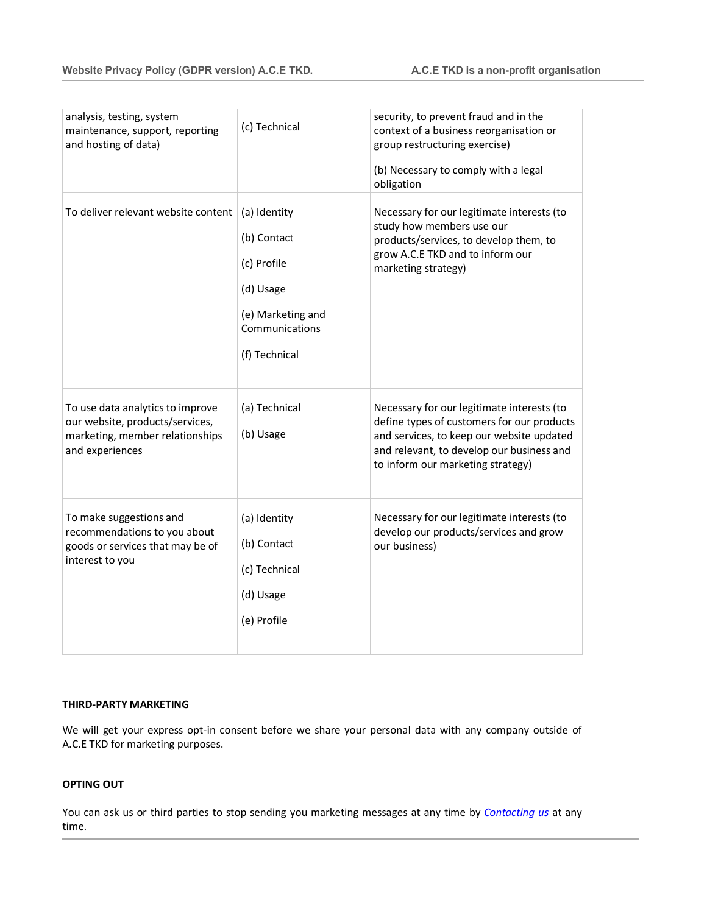| analysis, testing, system<br>maintenance, support, reporting<br>and hosting of data)                                      | (c) Technical                                                                                                   | security, to prevent fraud and in the<br>context of a business reorganisation or<br>group restructuring exercise)<br>(b) Necessary to comply with a legal<br>obligation                                                 |
|---------------------------------------------------------------------------------------------------------------------------|-----------------------------------------------------------------------------------------------------------------|-------------------------------------------------------------------------------------------------------------------------------------------------------------------------------------------------------------------------|
| To deliver relevant website content                                                                                       | (a) Identity<br>(b) Contact<br>(c) Profile<br>(d) Usage<br>(e) Marketing and<br>Communications<br>(f) Technical | Necessary for our legitimate interests (to<br>study how members use our<br>products/services, to develop them, to<br>grow A.C.E TKD and to inform our<br>marketing strategy)                                            |
| To use data analytics to improve<br>our website, products/services,<br>marketing, member relationships<br>and experiences | (a) Technical<br>(b) Usage                                                                                      | Necessary for our legitimate interests (to<br>define types of customers for our products<br>and services, to keep our website updated<br>and relevant, to develop our business and<br>to inform our marketing strategy) |
| To make suggestions and<br>recommendations to you about<br>goods or services that may be of<br>interest to you            | (a) Identity<br>(b) Contact<br>(c) Technical<br>(d) Usage<br>(e) Profile                                        | Necessary for our legitimate interests (to<br>develop our products/services and grow<br>our business)                                                                                                                   |

# **THIRD-PARTY MARKETING**

We will get your express opt-in consent before we share your personal data with any company outside of A.C.E TKD for marketing purposes.

# **OPTING OUT**

You can ask us or third parties to stop sending you marketing messages at any time by *Contacting us* at any time.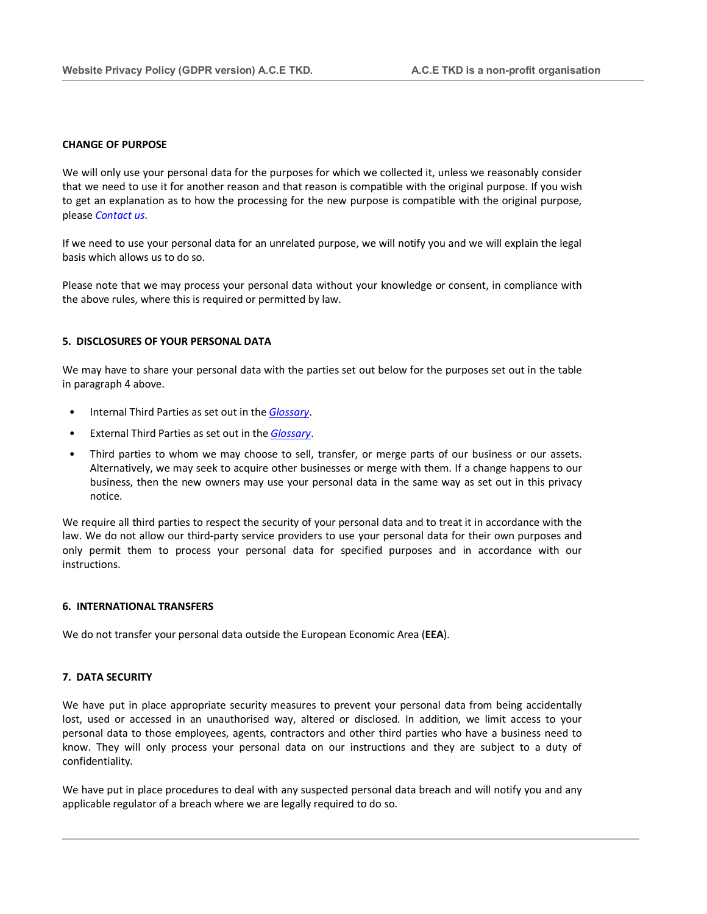### **CHANGE OF PURPOSE**

We will only use your personal data for the purposes for which we collected it, unless we reasonably consider that we need to use it for another reason and that reason is compatible with the original purpose. If you wish to get an explanation as to how the processing for the new purpose is compatible with the original purpose, please *Contact us*.

If we need to use your personal data for an unrelated purpose, we will notify you and we will explain the legal basis which allows us to do so.

Please note that we may process your personal data without your knowledge or consent, in compliance with the above rules, where this is required or permitted by law.

## **5. DISCLOSURES OF YOUR PERSONAL DATA**

We may have to share your personal data with the parties set out below for the purposes set out in the table in paragraph 4 above.

- Internal Third Parties as set out in the *Glossary*.
- External Third Parties as set out in the *Glossary*.
- Third parties to whom we may choose to sell, transfer, or merge parts of our business or our assets. Alternatively, we may seek to acquire other businesses or merge with them. If a change happens to our business, then the new owners may use your personal data in the same way as set out in this privacy notice.

We require all third parties to respect the security of your personal data and to treat it in accordance with the law. We do not allow our third-party service providers to use your personal data for their own purposes and only permit them to process your personal data for specified purposes and in accordance with our instructions.

#### **6. INTERNATIONAL TRANSFERS**

We do not transfer your personal data outside the European Economic Area (**EEA**).

### **7. DATA SECURITY**

We have put in place appropriate security measures to prevent your personal data from being accidentally lost, used or accessed in an unauthorised way, altered or disclosed. In addition, we limit access to your personal data to those employees, agents, contractors and other third parties who have a business need to know. They will only process your personal data on our instructions and they are subject to a duty of confidentiality.

We have put in place procedures to deal with any suspected personal data breach and will notify you and any applicable regulator of a breach where we are legally required to do so.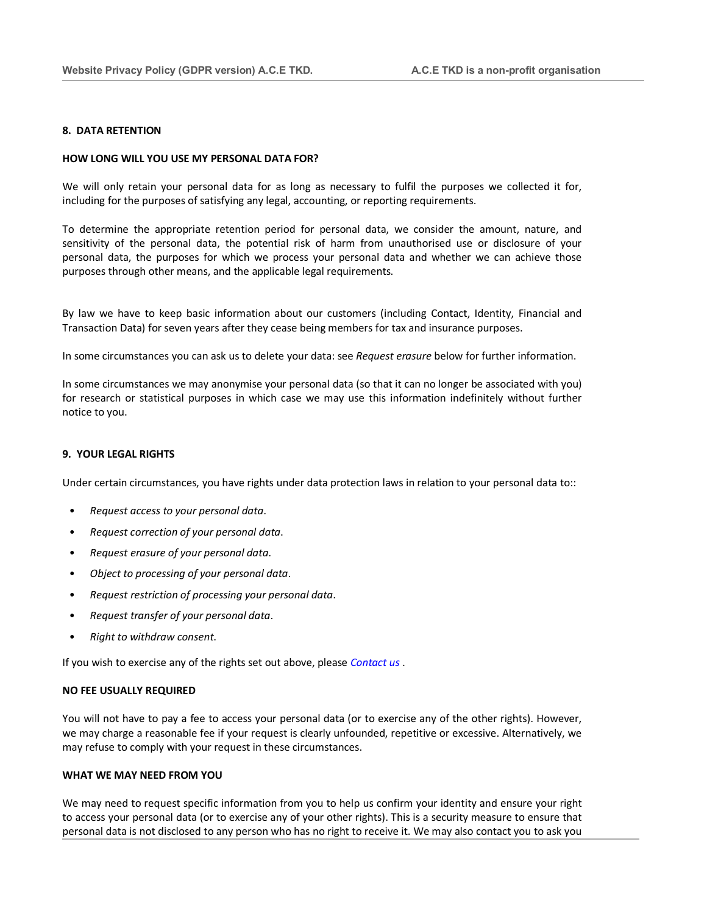### **8. DATA RETENTION**

### **HOW LONG WILL YOU USE MY PERSONAL DATA FOR?**

We will only retain your personal data for as long as necessary to fulfil the purposes we collected it for, including for the purposes of satisfying any legal, accounting, or reporting requirements.

To determine the appropriate retention period for personal data, we consider the amount, nature, and sensitivity of the personal data, the potential risk of harm from unauthorised use or disclosure of your personal data, the purposes for which we process your personal data and whether we can achieve those purposes through other means, and the applicable legal requirements.

By law we have to keep basic information about our customers (including Contact, Identity, Financial and Transaction Data) for seven years after they cease being members for tax and insurance purposes.

In some circumstances you can ask us to delete your data: see *Request erasure* below for further information.

In some circumstances we may anonymise your personal data (so that it can no longer be associated with you) for research or statistical purposes in which case we may use this information indefinitely without further notice to you.

#### **9. YOUR LEGAL RIGHTS**

Under certain circumstances, you have rights under data protection laws in relation to your personal data to::

- *Request access to your personal data*.
- *Request correction of your personal data*.
- *Request erasure of your personal data*.
- *Object to processing of your personal data*.
- *Request restriction of processing your personal data*.
- *Request transfer of your personal data*.
- *Right to withdraw consent*.

If you wish to exercise any of the rights set out above, please *Contact us* .

#### **NO FEE USUALLY REQUIRED**

You will not have to pay a fee to access your personal data (or to exercise any of the other rights). However, we may charge a reasonable fee if your request is clearly unfounded, repetitive or excessive. Alternatively, we may refuse to comply with your request in these circumstances.

### **WHAT WE MAY NEED FROM YOU**

We may need to request specific information from you to help us confirm your identity and ensure your right to access your personal data (or to exercise any of your other rights). This is a security measure to ensure that personal data is not disclosed to any person who has no right to receive it. We may also contact you to ask you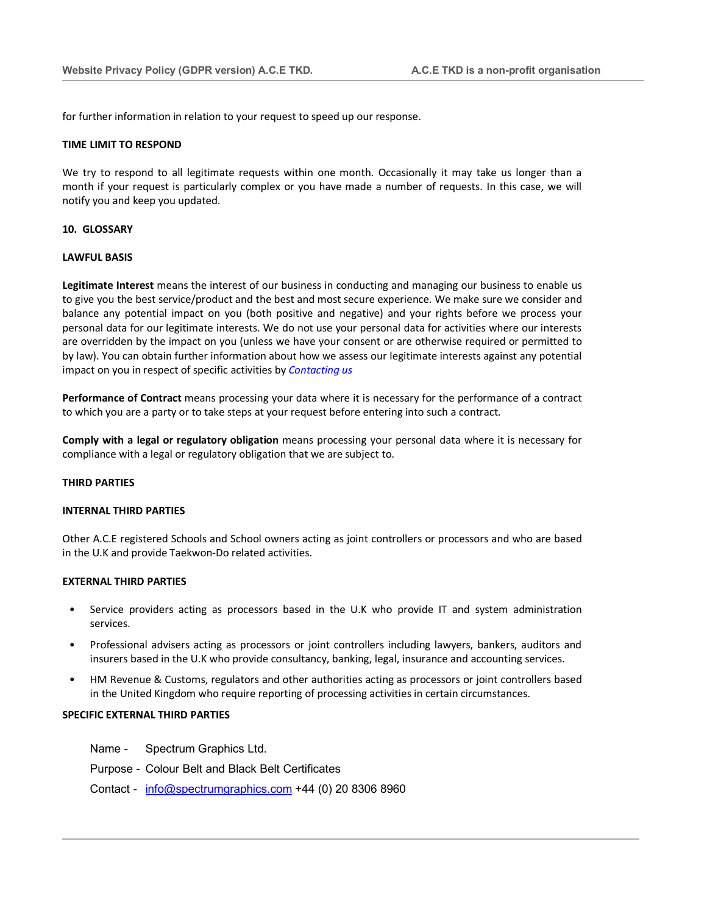for further information in relation to your request to speed up our response.

#### **TIME LIMIT TO RESPOND**

We try to respond to all legitimate requests within one month. Occasionally it may take us longer than a month if your request is particularly complex or you have made a number of requests. In this case, we will notify you and keep you updated.

# **10. GLOSSARY**

### **LAWFUL BASIS**

**Legitimate Interest** means the interest of our business in conducting and managing our business to enable us to give you the best service/product and the best and most secure experience. We make sure we consider and balance any potential impact on you (both positive and negative) and your rights before we process your personal data for our legitimate interests. We do not use your personal data for activities where our interests are overridden by the impact on you (unless we have your consent or are otherwise required or permitted to by law). You can obtain further information about how we assess our legitimate interests against any potential impact on you in respect of specific activities by *Contacting us*

**Performance of Contract** means processing your data where it is necessary for the performance of a contract to which you are a party or to take steps at your request before entering into such a contract.

**Comply with a legal or regulatory obligation** means processing your personal data where it is necessary for compliance with a legal or regulatory obligation that we are subject to.

## **THIRD PARTIES**

#### **INTERNAL THIRD PARTIES**

Other A.C.E registered Schools and School owners acting as joint controllers or processors and who are based in the U.K and provide Taekwon-Do related activities.

#### **EXTERNAL THIRD PARTIES**

- Service providers acting as processors based in the U.K who provide IT and system administration services.
- Professional advisers acting as processors or joint controllers including lawyers, bankers, auditors and insurers based in the U.K who provide consultancy, banking, legal, insurance and accounting services.
- HM Revenue & Customs, regulators and other authorities acting as processors or joint controllers based in the United Kingdom who require reporting of processing activities in certain circumstances.

#### **SPECIFIC EXTERNAL THIRD PARTIES**

Name - Spectrum Graphics Ltd.

Purpose - Colour Belt and Black Belt Certificates

Contact - info@spectrumgraphics.com +44 (0) 20 8306 8960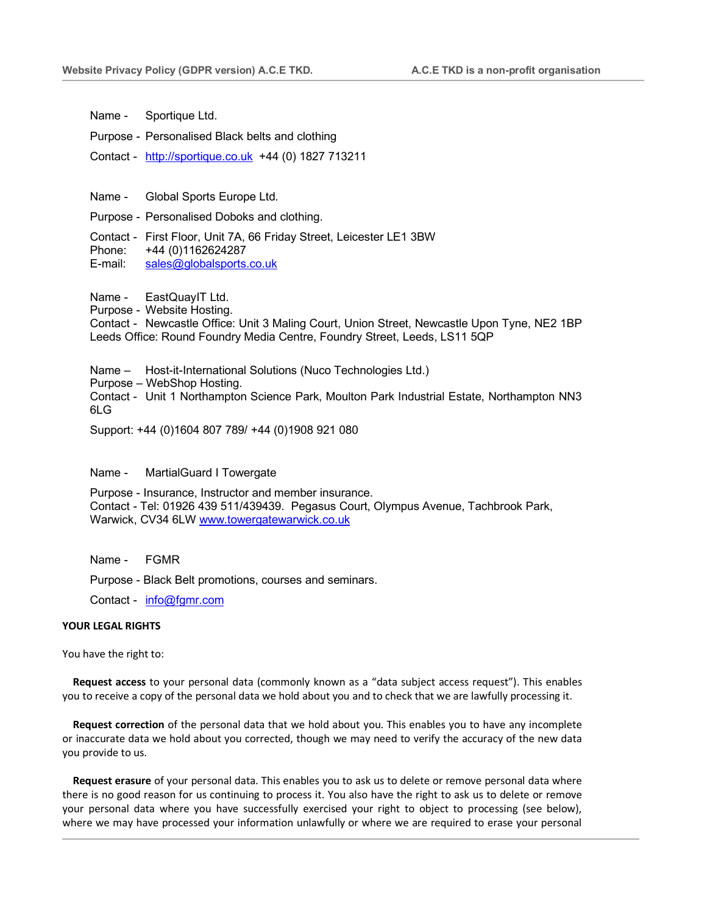Name - Sportique Ltd.

Purpose - Personalised Black belts and clothing

Contact - http://sportique.co.uk +44 (0) 1827 713211

Name - Global Sports Europe Ltd.

Purpose - Personalised Doboks and clothing.

Contact - First Floor, Unit 7A, 66 Friday Street, Leicester LE1 3BW Phone: +44 (0)1162624287 E-mail: sales@globalsports.co.uk

Name - EastQuayIT Ltd.

Purpose - Website Hosting.

Contact - Newcastle Office: Unit 3 Maling Court, Union Street, Newcastle Upon Tyne, NE2 1BP Leeds Office: Round Foundry Media Centre, Foundry Street, Leeds, LS11 5QP

Name – Host-it-International Solutions (Nuco Technologies Ltd.)

Purpose – WebShop Hosting.

Contact - Unit 1 Northampton Science Park, Moulton Park Industrial Estate, Northampton NN3 6LG

Support: +44 (0)1604 807 789/ +44 (0)1908 921 080

Name - MartialGuard I Towergate

Purpose - Insurance, Instructor and member insurance. Contact - Tel: 01926 439 511/439439. Pegasus Court, Olympus Avenue, Tachbrook Park, Warwick, CV34 6LW www.towergatewarwick.co.uk

Name - FGMR

Purpose - Black Belt promotions, courses and seminars.

Contact - info@fgmr.com

# **YOUR LEGAL RIGHTS**

You have the right to:

 **Request access** to your personal data (commonly known as a "data subject access request"). This enables you to receive a copy of the personal data we hold about you and to check that we are lawfully processing it.

 **Request correction** of the personal data that we hold about you. This enables you to have any incomplete or inaccurate data we hold about you corrected, though we may need to verify the accuracy of the new data you provide to us.

 **Request erasure** of your personal data. This enables you to ask us to delete or remove personal data where there is no good reason for us continuing to process it. You also have the right to ask us to delete or remove your personal data where you have successfully exercised your right to object to processing (see below), where we may have processed your information unlawfully or where we are required to erase your personal